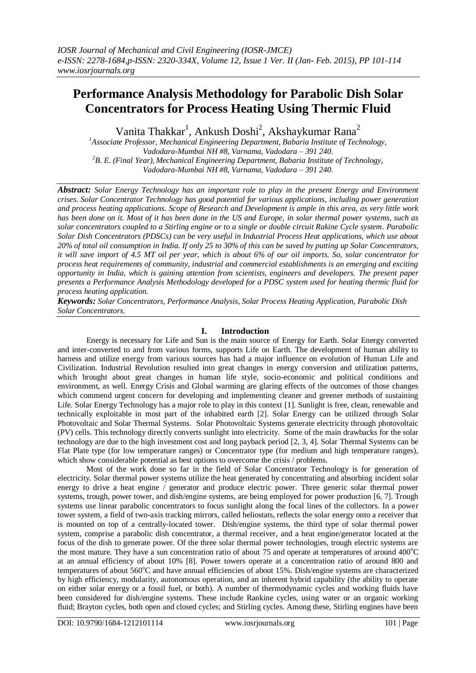# **Performance Analysis Methodology for Parabolic Dish Solar Concentrators for Process Heating Using Thermic Fluid**

Vanita Thakkar<sup>1</sup>, Ankush Doshi<sup>2</sup>, Akshaykumar Rana<sup>2</sup>

*<sup>1</sup>Associate Professor, Mechanical Engineering Department, Babaria Institute of Technology, Vadodara-Mumbai NH #8, Varnama, Vadodara – 391 240. <sup>2</sup>B. E. (Final Year), Mechanical Engineering Department, Babaria Institute of Technology, Vadodara-Mumbai NH #8, Varnama, Vadodara – 391 240*.

*Abstract: Solar Energy Technology has an important role to play in the present Energy and Environment crises. Solar Concentrator Technology has good potential for various applications, including power generation and process heating applications. Scope of Research and Development is ample in this area, as very little work has been done on it. Most of it has been done in the US and Europe, in solar thermal power systems, such as solar concentrators coupled to a Stirling engine or to a single or double circuit Rakine Cycle system. Parabolic Solar Dish Concentrators (PDSCs) can be very useful in Industrial Process Heat applications, which use about 20% of total oil consumption in India. If only 25 to 30% of this can be saved by putting up Solar Concentrators, it will save import of 4.5 MT oil per year, which is about 6% of our oil imports. So, solar concentrator for process heat requirements of community, industrial and commercial establishments is an emerging and exciting opportunity in India, which is gaining attention from scientists, engineers and developers. The present paper presents a Performance Analysis Methodology developed for a PDSC system used for heating thermic fluid for process heating application.* 

*Keywords: Solar Concentrators, Performance Analysis, Solar Process Heating Application, Parabolic Dish Solar Concentrators.*

# **I. Introduction**

Energy is necessary for Life and Sun is the main source of Energy for Earth. Solar Energy converted and inter-converted to and from various forms, supports Life on Earth. The development of human ability to harness and utilize energy from various sources has had a major influence on evolution of Human Life and Civilization. Industrial Revolution resulted into great changes in energy conversion and utilization patterns, which brought about great changes in human life style, socio-economic and political conditions and environment, as well. Energy Crisis and Global warming are glaring effects of the outcomes of those changes which commend urgent concern for developing and implementing cleaner and greener methods of sustaining Life. Solar Energy Technology has a major role to play in this context [1]. Sunlight is free, clean, renewable and technically exploitable in most part of the inhabited earth [2]. Solar Energy can be utilized through Solar Photovoltaic and Solar Thermal Systems. Solar Photovoltaic Systems generate electricity through photovoltaic (PV) cells. This technology directly converts sunlight into electricity. Some of the main drawbacks for the solar technology are due to the high investment cost and long payback period [2, 3, 4]. Solar Thermal Systems can be Flat Plate type (for low temperature ranges) or Concentrator type (for medium and high temperature ranges), which show considerable potential as best options to overcome the crisis / problems.

Most of the work done so far in the field of Solar Concentrator Technology is for generation of electricity. Solar thermal power systems utilize the heat generated by concentrating and absorbing incident solar energy to drive a heat engine / generator and produce electric power. Three generic solar thermal power systems, trough, power tower, and dish/engine systems, are being employed for power production [6, 7]. Trough systems use linear parabolic concentrators to focus sunlight along the focal lines of the collectors. In a power tower system, a field of two-axis tracking mirrors, called heliostats, reflects the solar energy onto a receiver that is mounted on top of a centrally-located tower. Dish/engine systems, the third type of solar thermal power system, comprise a parabolic dish concentrator, a thermal receiver, and a heat engine/generator located at the focus of the dish to generate power. Of the three solar thermal power technologies, trough electric systems are the most mature. They have a sun concentration ratio of about 75 and operate at temperatures of around  $400^{\circ}$ C at an annual efficiency of about 10% [8]. Power towers operate at a concentration ratio of around 800 and temperatures of about 560°C and have annual efficiencies of about 15%. Dish/engine systems are characterized by high efficiency, modularity, autonomous operation, and an inherent hybrid capability (the ability to operate on either solar energy or a fossil fuel, or both). A number of thermodynamic cycles and working fluids have been considered for dish/engine systems. These include Rankine cycles, using water or an organic working fluid; Brayton cycles, both open and closed cycles; and Stirling cycles. Among these, Stirling engines have been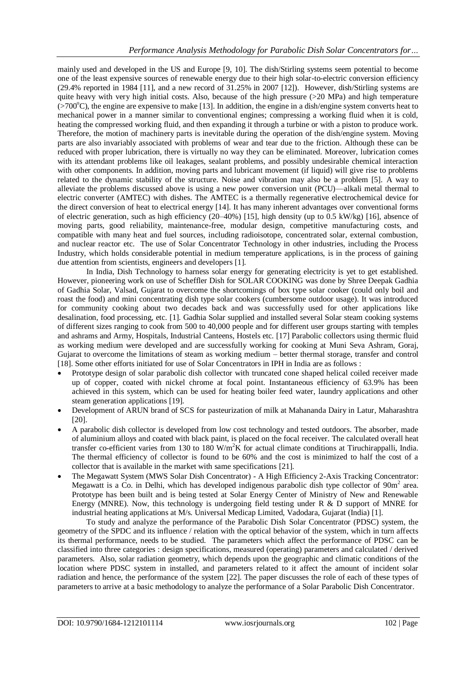mainly used and developed in the US and Europe [9, 10]. The dish/Stirling systems seem potential to become one of the least expensive sources of renewable energy due to their high solar-to-electric conversion efficiency (29.4% reported in 1984 [11], and a new record of 31.25% in 2007 [12]). However, dish/Stirling systems are quite heavy with very high initial costs. Also, because of the high pressure  $(20$  MPa) and high temperature  $(0.700^{\circ}C)$ , the engine are expensive to make [13]. In addition, the engine in a dish/engine system converts heat to mechanical power in a manner similar to conventional engines; compressing a working fluid when it is cold, heating the compressed working fluid, and then expanding it through a turbine or with a piston to produce work. Therefore, the motion of machinery parts is inevitable during the operation of the dish/engine system. Moving parts are also invariably associated with problems of wear and tear due to the friction. Although these can be reduced with proper lubrication, there is virtually no way they can be eliminated. Moreover, lubrication comes with its attendant problems like oil leakages, sealant problems, and possibly undesirable chemical interaction with other components. In addition, moving parts and lubricant movement (if liquid) will give rise to problems related to the dynamic stability of the structure. Noise and vibration may also be a problem [5]. A way to alleviate the problems discussed above is using a new power conversion unit (PCU)—alkali metal thermal to electric converter (AMTEC) with dishes. The AMTEC is a thermally regenerative electrochemical device for the direct conversion of heat to electrical energy [14]. It has many inherent advantages over conventional forms of electric generation, such as high efficiency (20–40%) [15], high density (up to 0.5 kW/kg) [16], absence of moving parts, good reliability, maintenance-free, modular design, competitive manufacturing costs, and compatible with many heat and fuel sources, including radioisotope, concentrated solar, external combustion, and nuclear reactor etc. The use of Solar Concentrator Technology in other industries, including the Process Industry, which holds considerable potential in medium temperature applications, is in the process of gaining due attention from scientists, engineers and developers [1].

In India, Dish Technology to harness solar energy for generating electricity is yet to get established. However, pioneering work on use of Scheffler Dish for SOLAR COOKING was done by Shree Deepak Gadhia of Gadhia Solar, Valsad, Gujarat to overcome the shortcomings of box type solar cooker (could only boil and roast the food) and mini concentrating dish type solar cookers (cumbersome outdoor usage). It was introduced for community cooking about two decades back and was successfully used for other applications like desalination, food processing, etc. [1]. Gadhia Solar supplied and installed several Solar steam cooking systems of different sizes ranging to cook from 500 to 40,000 people and for different user groups starting with temples and ashrams and Army, Hospitals, Industrial Canteens, Hostels etc. [17] Parabolic collectors using thermic fluid as working medium were developed and are successfully working for cooking at Muni Seva Ashram, Goraj, Gujarat to overcome the limitations of steam as working medium – better thermal storage, transfer and control [18]. Some other efforts initiated for use of Solar Concentrators in IPH in India are as follows :

- Prototype design of solar parabolic dish collector with truncated cone shaped helical coiled receiver made up of copper, coated with nickel chrome at focal point. Instantaneous efficiency of 63.9% has been achieved in this system, which can be used for heating boiler feed water, laundry applications and other steam generation applications [19].
- Development of ARUN brand of SCS for pasteurization of milk at Mahananda Dairy in Latur, Maharashtra [20].
- A parabolic dish collector is developed from low cost technology and tested outdoors. The absorber, made of aluminium alloys and coated with black paint, is placed on the focal receiver. The calculated overall heat transfer co-efficient varies from 130 to 180 W/m<sup>2</sup>K for actual climate conditions at Tiruchirappalli, India. The thermal efficiency of collector is found to be 60% and the cost is minimized to half the cost of a collector that is available in the market with same specifications [21].
- The Megawatt System (MWS Solar Dish Concentrator) A High Efficiency 2-Axis Tracking Concentrator: Megawatt is a Co. in Delhi, which has developed indigenous parabolic dish type collector of  $90m^2$  area. Prototype has been built and is being tested at Solar Energy Center of Ministry of New and Renewable Energy (MNRE). Now, this technology is undergoing field testing under R  $\&$  D support of MNRE for industrial heating applications at M/s. Universal Medicap Limited, Vadodara, Gujarat (India) [1].

To study and analyze the performance of the Parabolic Dish Solar Concentrator (PDSC) system, the geometry of the SPDC and its influence / relation with the optical behavior of the system, which in turn affects its thermal performance, needs to be studied. The parameters which affect the performance of PDSC can be classified into three categories : design specifications, measured (operating) parameters and calculated / derived parameters. Also, solar radiation geometry, which depends upon the geographic and climatic conditions of the location where PDSC system in installed, and parameters related to it affect the amount of incident solar radiation and hence, the performance of the system [22]. The paper discusses the role of each of these types of parameters to arrive at a basic methodology to analyze the performance of a Solar Parabolic Dish Concentrator.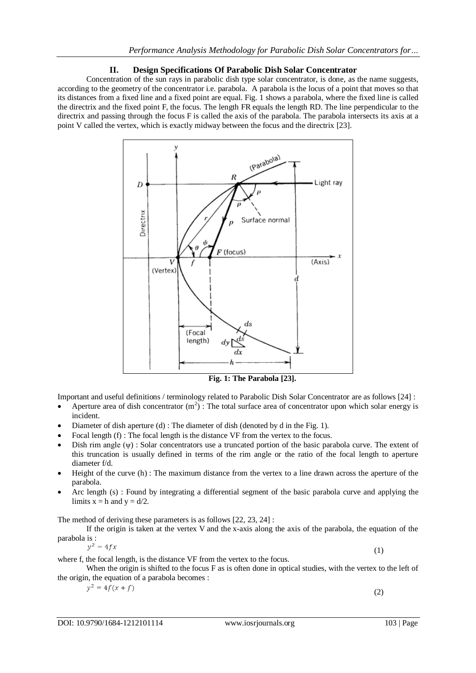# **II. Design Specifications Of Parabolic Dish Solar Concentrator**

Concentration of the sun rays in parabolic dish type solar concentrator, is done, as the name suggests, according to the geometry of the concentrator i.e. parabola. A parabola is the locus of a point that moves so that its distances from a fixed line and a fixed point are equal. Fig. 1 shows a parabola, where the fixed line is called the directrix and the fixed point F, the focus. The length FR equals the length RD. The line perpendicular to the directrix and passing through the focus F is called the axis of the parabola. The parabola intersects its axis at a point V called the vertex, which is exactly midway between the focus and the directrix [23].



**Fig. 1: The Parabola [23].**

Important and useful definitions / terminology related to Parabolic Dish Solar Concentrator are as follows [24] :

- Aperture area of dish concentrator  $(m^2)$ : The total surface area of concentrator upon which solar energy is incident.
- Diameter of dish aperture (d) : The diameter of dish (denoted by d in the Fig. 1).
- Focal length (f) : The focal length is the distance VF from the vertex to the focus.
- Dish rim angle  $(\psi)$ : Solar concentrators use a truncated portion of the basic parabola curve. The extent of this truncation is usually defined in terms of the rim angle or the ratio of the focal length to aperture diameter f/d.
- Height of the curve (h) : The maximum distance from the vertex to a line drawn across the aperture of the parabola.
- Arc length (s) : Found by integrating a differential segment of the basic parabola curve and applying the limits  $x = h$  and  $y = d/2$ .

The method of deriving these parameters is as follows [22, 23, 24] :

If the origin is taken at the vertex V and the x-axis along the axis of the parabola, the equation of the parabola is :

$$
y^2 = 4fx \tag{1}
$$

where f, the focal length, is the distance VF from the vertex to the focus.

When the origin is shifted to the focus F as is often done in optical studies, with the vertex to the left of the origin, the equation of a parabola becomes :

 $y^2 = 4f(x + f)$ 

(2)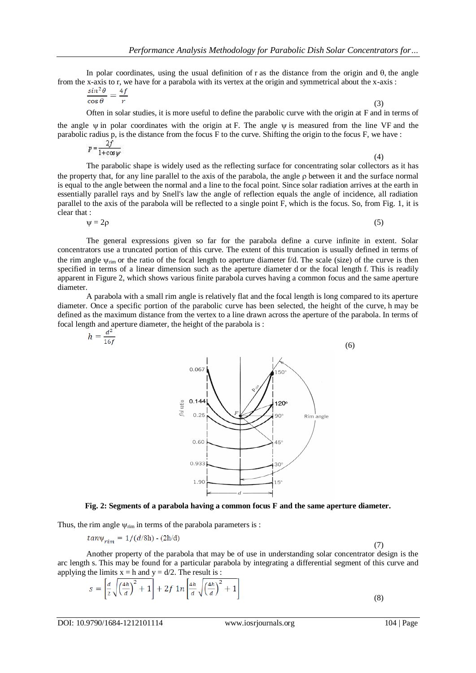In polar coordinates, using the usual definition of r as the distance from the origin and  $\theta$ , the angle from the x-axis to r, we have for a parabola with its vertex at the origin and symmetrical about the x-axis :

$$
\frac{\sin^2 \theta}{\cos \theta} = \frac{4f}{r} \tag{3}
$$

Often in solar studies, it is more useful to define the parabolic curve with the origin at F and in terms of

the angle  $\psi$  in polar coordinates with the origin at F. The angle  $\psi$  is measured from the line VF and the parabolic radius p, is the distance from the focus F to the curve. Shifting the origin to the focus F, we have :

$$
p = \frac{2J}{1 + \cos \psi} \tag{4}
$$

The parabolic shape is widely used as the reflecting surface for concentrating solar collectors as it has the property that, for any line parallel to the axis of the parabola, the angle  $\rho$  between it and the surface normal is equal to the angle between the normal and a line to the focal point. Since solar radiation arrives at the earth in essentially parallel rays and by Snell's law the angle of reflection equals the angle of incidence, all radiation parallel to the axis of the parabola will be reflected to a single point F, which is the focus. So, from Fig. 1, it is clear that :

$$
\psi = 2\rho \tag{5}
$$

The general expressions given so far for the parabola define a curve infinite in extent. Solar concentrators use a truncated portion of this curve. The extent of this truncation is usually defined in terms of the rim angle  $\psi_{\text{rim}}$  or the ratio of the focal length to aperture diameter f/d. The scale (size) of the curve is then specified in terms of a linear dimension such as the aperture diameter d or the focal length f. This is readily apparent in Figure 2, which shows various finite parabola curves having a common focus and the same aperture diameter.

A parabola with a small rim angle is relatively flat and the focal length is long compared to its aperture diameter. Once a specific portion of the parabolic curve has been selected, the height of the curve, h may be defined as the maximum distance from the vertex to a line drawn across the aperture of the parabola. In terms of focal length and aperture diameter, the height of the parabola is :<br>  $h = \frac{d^2}{dt^2}$ 

$$
1.90
$$
\n0.067\n0.25\n0.25\n0.28\n1.90°\n0.933\n1.90°\n1.90°\n1.90°\n1.90°\n1.90°\n1.90°\n1.90°\n1.90°\n1.90°\n1.90°\n1.90°\n1.90°\n1.90°\n1.90°\n1.90°\n1.90°\n1.90°\n1.90°\n1.90°\n1.90°\n1.90°\n1.90°\n1.90°\n1.90°\n1.90°\n1.90°\n1.90°\n1.90°\n1.90°\n1.90°\n1.90°\n1.90°\n1.90°\n1.90°\n1.90°\n1.90°\n1.90°\n1.90°\n1.90°\n1.90°\n1.90°\n1.90°\n1.90°\n1.90°\n1.90°\n1.90°\n1.90°\n1.90°\n1.90°\n1.90°\n1.90°\n1.90°\n1.90°\n1.90°\n1.90°\n1.90°\n1.90°\n1.90°\n1.90°\n1.90°\n1.90°\n1.90°\n1.90°\n1.90°\n1.90°\n1.90°\n1.90°\n1.90°\n1.90°\n1.90°\n1.90°\n1.90°\n1.90°\n1.90°\n1.90°\n1.90°\n1.90°\n1.90°\n1.90°\n1.90°\n1.90°\n1.90°\n1.90°\n1.90°\n1.90°\n1.90°\n1.90°\n1.90°\n1.90°\n1.90°\n1.90°\n1.90°\n1.90°\n1.90°\n1.90°\n1.90°\n1.90°\n1.90°\n1.90°\n1.90°\n1.90°\n1.90°\n1.9

**Fig. 2: Segments of a parabola having a common focus F and the same aperture diameter.**

Thus, the rim angle  $\psi_{rim}$  in terms of the parabola parameters is :

$$
tan \psi_{rim} = 1/(d/8h) - (2h/d)
$$

(7)

Another property of the parabola that may be of use in understanding solar concentrator design is the arc length s. This may be found for a particular parabola by integrating a differential segment of this curve and applying the limits  $x = h$  and  $y = d/2$ . The result is :

$$
s = \left[\frac{d}{2}\sqrt{\left(\frac{4h}{d}\right)^2 + 1}\right] + 2f \ln\left[\frac{4h}{d}\sqrt{\left(\frac{4h}{d}\right)^2 + 1}\right]
$$
\n(8)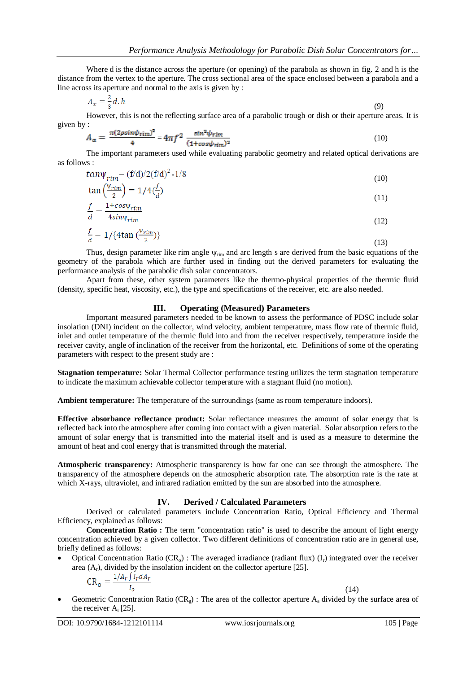Where d is the distance across the aperture (or opening) of the parabola as shown in fig. 2 and h is the distance from the vertex to the aperture. The cross sectional area of the space enclosed between a parabola and a line across its aperture and normal to the axis is given by :

$$
A_x = \frac{2}{3}d, h \tag{9}
$$

However, this is not the reflecting surface area of a parabolic trough or dish or their aperture areas. It is given by :

$$
A_a = \frac{\pi (2\rho sin \psi_{\text{rim}})^2}{4} = 4\pi f^2 \frac{sin^2 \psi_{\text{rim}}}{(1 + \cos \psi_{\text{rim}})^2}
$$
(10)

The important parameters used while evaluating parabolic geometry and related optical derivations are as follows :

$$
tan \psi_{rim} = (f/d)/2(f/d)^2 - 1/8
$$
\n
$$
\left(\psi_{rim}\right)_{\text{atoc}} f_{\text{atoc}} \tag{10}
$$

$$
\tan\left(\frac{rm}{2}\right) = 1/4\left(\frac{2}{d}\right)
$$
\n
$$
f = 1 + \cos\psi_{rim} \tag{11}
$$

$$
\frac{d}{d} = \frac{1}{4\sin\psi_{rim}}\tag{12}
$$

$$
\frac{1}{d} = 1/\{\text{4tan}\left(\frac{\Psi \cdot \text{rim}}{2}\right)\}\tag{13}
$$

Thus, design parameter like rim angle  $\psi_{rim}$  and arc length s are derived from the basic equations of the geometry of the parabola which are further used in finding out the derived parameters for evaluating the performance analysis of the parabolic dish solar concentrators.

Apart from these, other system parameters like the thermo-physical properties of the thermic fluid (density, specific heat, viscosity, etc.), the type and specifications of the receiver, etc. are also needed.

### **III. Operating (Measured) Parameters**

Important measured parameters needed to be known to assess the performance of PDSC include solar insolation (DNI) incident on the collector, wind velocity, ambient temperature, mass flow rate of thermic fluid, inlet and outlet temperature of the thermic fluid into and from the receiver respectively, temperature inside the receiver cavity, angle of inclination of the receiver from the horizontal, etc. Definitions of some of the operating parameters with respect to the present study are :

**Stagnation temperature:** Solar Thermal Collector performance testing utilizes the term stagnation temperature to indicate the maximum achievable collector temperature with a stagnant fluid (no motion).

**Ambient temperature:** The temperature of the surroundings (same as room temperature indoors).

**Effective absorbance reflectance product:** Solar reflectance measures the amount of solar energy that is reflected back into the atmosphere after coming into contact with a given material. Solar absorption refers to the amount of solar energy that is transmitted into the material itself and is used as a measure to determine the amount of heat and cool energy that is transmitted through the material.

**Atmospheric transparency:** Atmospheric transparency is how far one can see through the atmosphere. The transparency of the atmosphere depends on the atmospheric absorption rate. The absorption rate is the rate at which X-rays, ultraviolet, and infrared radiation emitted by the sun are absorbed into the atmosphere.

### **IV. Derived / Calculated Parameters**

Derived or calculated parameters include Concentration Ratio, Optical Efficiency and Thermal Efficiency, explained as follows:

**Concentration Ratio :** The term "concentration ratio" is used to describe the amount of light energy concentration achieved by a given collector. Two different definitions of concentration ratio are in general use, briefly defined as follows:

Optical Concentration Ratio  $(CR_0)$ : The averaged irradiance (radiant flux)  $(I_r)$  integrated over the receiver area  $(A_r)$ , divided by the insolation incident on the collector aperture [25].

$$
CR_o = \frac{1/A_r \int I_r dA_r}{I_o}
$$

(14)

Geometric Concentration Ratio (CR<sub>g</sub>) : The area of the collector aperture  $A_a$  divided by the surface area of the receiver  $A_r$  [25].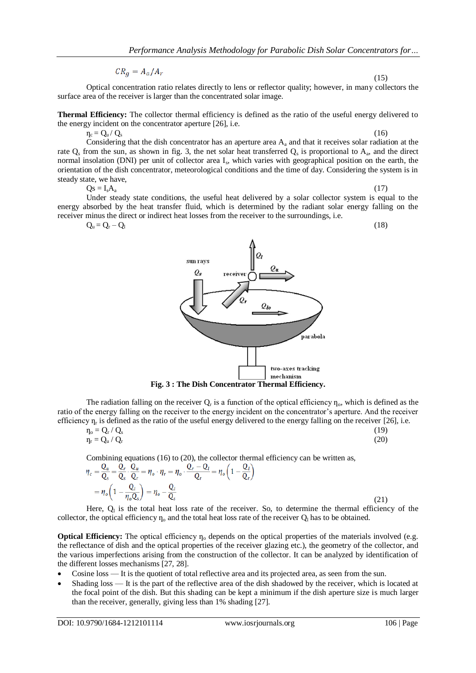$CR_a = A_a/A_r$ 

Optical concentration ratio relates directly to lens or reflector quality; however, in many collectors the surface area of the receiver is larger than the concentrated solar image.

**Thermal Efficiency:** The collector thermal efficiency is defined as the ratio of the useful energy delivered to the energy incident on the concentrator aperture [26], i.e.

 $\eta_c = Q_u / Q_s$  (16)

Considering that the dish concentrator has an aperture area  $A_a$  and that it receives solar radiation at the rate  $Q_s$  from the sun, as shown in fig. 3, the net solar heat transferred  $Q_s$  is proportional to  $A_a$ , and the direct normal insolation (DNI) per unit of collector area I<sub>s</sub>, which varies with geographical position on the earth, the orientation of the dish concentrator, meteorological conditions and the time of day. Considering the system is in steady state, we have,

 $\mathrm{Qs} = \mathrm{I}_s \mathrm{A}_a \tag{17}$ 

(15)

Under steady state conditions, the useful heat delivered by a solar collector system is equal to the energy absorbed by the heat transfer fluid, which is determined by the radiant solar energy falling on the receiver minus the direct or indirect heat losses from the receiver to the surroundings, i.e.

 $Q_{\rm u} = Q_{\rm r} - Q_{\rm l}$  (18)

sun rays 0. parabola two-axes tracking mechanism

**Fig. 3 : The Dish Concentrator Thermal Efficiency.**

The radiation falling on the receiver  $Q_r$  is a function of the optical efficiency  $\eta_o$ , which is defined as the ratio of the energy falling on the receiver to the energy incident on the concentrator's aperture. And the receiver efficiency  $\eta_r$  is defined as the ratio of the useful energy delivered to the energy falling on the receiver [26], i.e.

$$
\eta_o = Q_r / Q_s \tag{19}
$$
\n
$$
\eta_r = Q_u / Q_r \tag{20}
$$

Combining equations (16) to (20), the collector thermal efficiency can be written as,

$$
q_c = \frac{Q_u}{Q_s} = \frac{Q_r}{Q_s} \cdot \frac{Q_u}{Q_r} = \eta_o \cdot \eta_r = \eta_o \cdot \frac{Q_r - Q_l}{Q_r} = \eta_o \left(1 - \frac{Q_l}{Q_r}\right)
$$
  
= 
$$
\eta_o \left(1 - \frac{Q_l}{\eta_o Q_s}\right) = \eta_o - \frac{Q_l}{Q_s}
$$
 (21)

Here,  $Q_1$  is the total heat loss rate of the receiver. So, to determine the thermal efficiency of the collector, the optical efficiency  $\eta_0$  and the total heat loss rate of the receiver  $Q_1$  has to be obtained.

**Optical Efficiency:** The optical efficiency  $\eta_0$  depends on the optical properties of the materials involved (e.g. the reflectance of dish and the optical properties of the receiver glazing etc.), the geometry of the collector, and the various imperfections arising from the construction of the collector. It can be analyzed by identification of the different losses mechanisms [27, 28].

- Cosine loss It is the quotient of total reflective area and its projected area, as seen from the sun.
- Shading loss It is the part of the reflective area of the dish shadowed by the receiver, which is located at the focal point of the dish. But this shading can be kept a minimum if the dish aperture size is much larger than the receiver, generally, giving less than 1% shading [27].

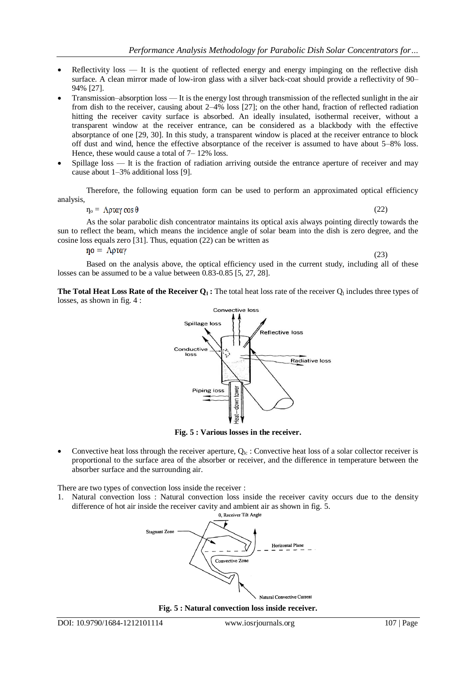- Reflectivity loss It is the quotient of reflected energy and energy impinging on the reflective dish surface. A clean mirror made of low-iron glass with a silver back-coat should provide a reflectivity of 90– 94% [27].
- Transmission–absorption loss It is the energy lost through transmission of the reflected sunlight in the air from dish to the receiver, causing about 2–4% loss [27]; on the other hand, fraction of reflected radiation hitting the receiver cavity surface is absorbed. An ideally insulated, isothermal receiver, without a transparent window at the receiver entrance, can be considered as a blackbody with the effective absorptance of one [29, 30]. In this study, a transparent window is placed at the receiver entrance to block off dust and wind, hence the effective absorptance of the receiver is assumed to have about 5–8% loss. Hence, these would cause a total of 7– 12% loss.
- Spillage loss It is the fraction of radiation arriving outside the entrance aperture of receiver and may cause about 1–3% additional loss [9].

Therefore, the following equation form can be used to perform an approximated optical efficiency analysis,

 $\eta_{\rm o} = \Lambda \rho \tau \alpha \gamma \cos \theta$  (22)

As the solar parabolic dish concentrator maintains its optical axis always pointing directly towards the sun to reflect the beam, which means the incidence angle of solar beam into the dish is zero degree, and the cosine loss equals zero [31]. Thus, equation (22) can be written as

 $no = \Lambda$ ρταγ

(23)

Based on the analysis above, the optical efficiency used in the current study, including all of these losses can be assumed to be a value between 0.83-0.85 [5, 27, 28].

**The Total Heat Loss Rate of the Receiver**  $Q_1$ **: The total heat loss rate of the receiver**  $Q_1$  **includes three types of** losses, as shown in fig. 4 :



**Fig. 5 : Various losses in the receiver.**

Convective heat loss through the receiver aperture,  $Q_{lc}$ : Convective heat loss of a solar collector receiver is proportional to the surface area of the absorber or receiver, and the difference in temperature between the absorber surface and the surrounding air.

There are two types of convection loss inside the receiver :

1. Natural convection loss : Natural convection loss inside the receiver cavity occurs due to the density difference of hot air inside the receiver cavity and ambient air as shown in fig. 5.<br> $\theta$ , Receiver Tilt Angle



**Fig. 5 : Natural convection loss inside receiver.**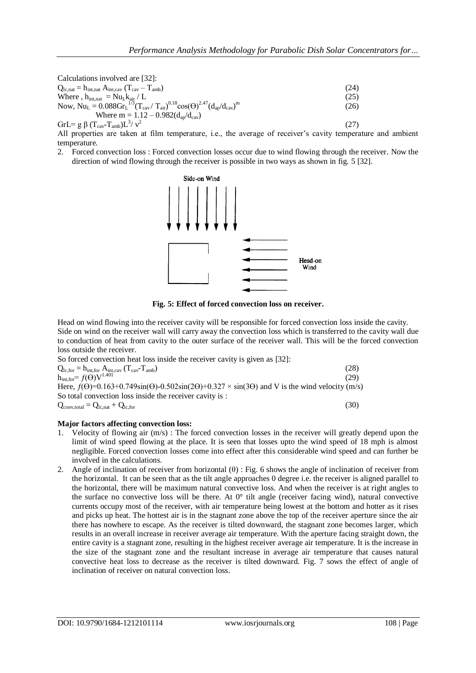Calculations involved are [32]:  $Q_{\text{lc,nat}} = h_{\text{int},\text{nat}} A_{\text{int},\text{cat}} (T_{\text{cav}} - T_{\text{amb}})$  (24) Where ,  $h_{int,nat} = Nu_L k_{air} / L$  (25) Now,  $Nu_{L} = 0.088 Gr_{L}^{1/3} (T_{cav} / T_{air})^{0.18} cos(\Theta)^{2.47} (d_{ap}/d_{cav})^{m}$ (26) Where  $m = 1.12 - 0.982(d_{av}/d_{cav})$ GrL= g β (T<sub>cav</sub>-T<sub>amb</sub>)L<sup>3</sup>/ v<sup>2</sup> (27)

All properties are taken at film temperature, i.e., the average of receiver's cavity temperature and ambient temperature.

2. Forced convection loss : Forced convection losses occur due to wind flowing through the receiver. Now the direction of wind flowing through the receiver is possible in two ways as shown in fig. 5 [32].



**Fig. 5: Effect of forced convection loss on receiver.**

Head on wind flowing into the receiver cavity will be responsible for forced convection loss inside the cavity. Side on wind on the receiver wall will carry away the convection loss which is transferred to the cavity wall due to conduction of heat from cavity to the outer surface of the receiver wall. This will be the forced convection loss outside the receiver.

| So forced convection heat loss inside the receiver cavity is given as [32]:                                                |      |
|----------------------------------------------------------------------------------------------------------------------------|------|
| $Q_{lc, for} = h_{int, for} A_{int, cav} (T_{cav} - T_{amb})$                                                              | (28) |
| $h_{\text{int, for}} = f(\Theta)V^{1.401}$                                                                                 | (29) |
| Here, $f(\theta)=0.163+0.749\sin(\theta)$ -0.502sin(2 $\theta$ )+0.327 × sin(3 $\theta$ ) and V is the wind velocity (m/s) |      |
| So total convection loss inside the receiver cavity is :                                                                   |      |
| $Q_{\text{conv,total}} = Q_{\text{lc},\text{nat}} + Q_{\text{lc},\text{for}}$                                              | (30) |

# **Major factors affecting convection loss:**

- 1. Velocity of flowing air (m/s) : The forced convection losses in the receiver will greatly depend upon the limit of wind speed flowing at the place. It is seen that losses upto the wind speed of 18 mph is almost negligible. Forced convection losses come into effect after this considerable wind speed and can further be involved in the calculations.
- 2. Angle of inclination of receiver from horizontal (θ) : Fig. 6 shows the angle of inclination of receiver from the horizontal. It can be seen that as the tilt angle approaches 0 degree i.e. the receiver is aligned parallel to the horizontal, there will be maximum natural convective loss. And when the receiver is at right angles to the surface no convective loss will be there. At 0° tilt angle (receiver facing wind), natural convective currents occupy most of the receiver, with air temperature being lowest at the bottom and hotter as it rises and picks up heat. The hottest air is in the stagnant zone above the top of the receiver aperture since the air there has nowhere to escape. As the receiver is tilted downward, the stagnant zone becomes larger, which results in an overall increase in receiver average air temperature. With the aperture facing straight down, the entire cavity is a stagnant zone, resulting in the highest receiver average air temperature. It is the increase in the size of the stagnant zone and the resultant increase in average air temperature that causes natural convective heat loss to decrease as the receiver is tilted downward. Fig. 7 sows the effect of angle of inclination of receiver on natural convection loss.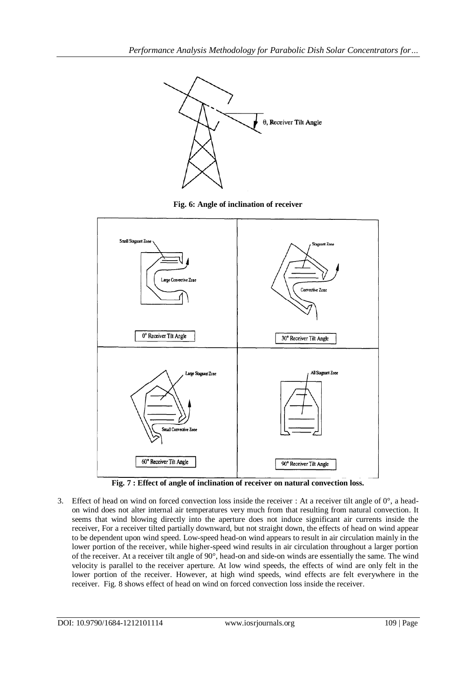

**Fig. 6: Angle of inclination of receiver**



**Fig. 7 : Effect of angle of inclination of receiver on natural convection loss.**

3. Effect of head on wind on forced convection loss inside the receiver : At a receiver tilt angle of 0°, a headon wind does not alter internal air temperatures very much from that resulting from natural convection. It seems that wind blowing directly into the aperture does not induce significant air currents inside the receiver, For a receiver tilted partially downward, but not straight down, the effects of head on wind appear to be dependent upon wind speed. Low-speed head-on wind appears to result in air circulation mainly in the lower portion of the receiver, while higher-speed wind results in air circulation throughout a larger portion of the receiver. At a receiver tilt angle of 90°, head-on and side-on winds are essentially the same. The wind velocity is parallel to the receiver aperture. At low wind speeds, the effects of wind are only felt in the lower portion of the receiver. However, at high wind speeds, wind effects are felt everywhere in the receiver. Fig. 8 shows effect of head on wind on forced convection loss inside the receiver.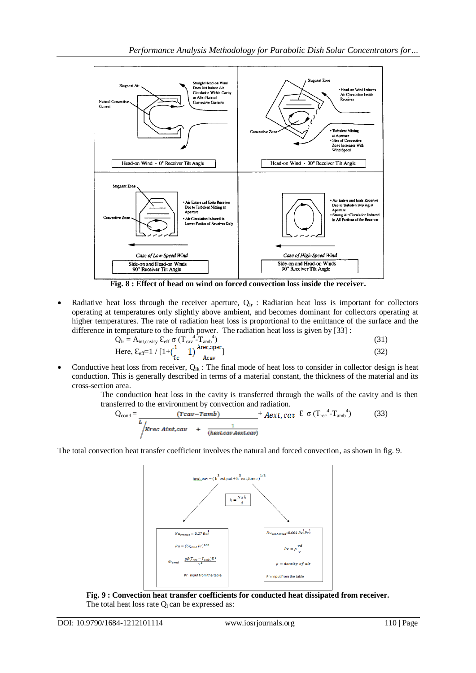

**Fig. 8 : Effect of head on wind on forced convection loss inside the receiver.**

Radiative heat loss through the receiver aperture,  $Q_{\text{lr}}$ : Radiation heat loss is important for collectors operating at temperatures only slightly above ambient, and becomes dominant for collectors operating at higher temperatures. The rate of radiation heat loss is proportional to the emittance of the surface and the difference in temperature to the fourth power. The radiation heat loss is given by [33] :

$$
Q_{\text{lr}} = A_{\text{int, cavity}} \, \mathcal{E}_{\text{eff}} \, \sigma \, (T_{\text{cav}}^4 \, T_{\text{amb}}^4)
$$
\nHere, 
$$
\mathcal{E}_{\text{eff}} = 1 / [1 + (\frac{1}{\epsilon_{\text{c}}} - 1) \frac{\text{Area}_{\text{per}}}{\text{Acc}_{\text{av}}}]
$$

\n(31)

Conductive heat loss from receiver,  $Q_{lk}$ : The final mode of heat loss to consider in collector design is heat conduction. This is generally described in terms of a material constant, the thickness of the material and its cross-section area.

The conduction heat loss in the cavity is transferred through the walls of the cavity and is then transferred to the environment by convection and radiation.

$$
Q_{\text{cond}} = \frac{(\text{cav-ramb})}{L_{\text{krec Aint, cav}} + \frac{1}{(\text{hext,cav Aext,cav})} + Aext, cav \& \sigma (T_{\text{rec}}^4 - T_{\text{amb}}^4) \tag{33}
$$

The total convection heat transfer coefficient involves the natural and forced convection, as shown in fig. 9.



**Fig. 9 : Convection heat transfer coefficients for conducted heat dissipated from receiver.** The total heat loss rate  $Q<sub>l</sub>$  can be expressed as: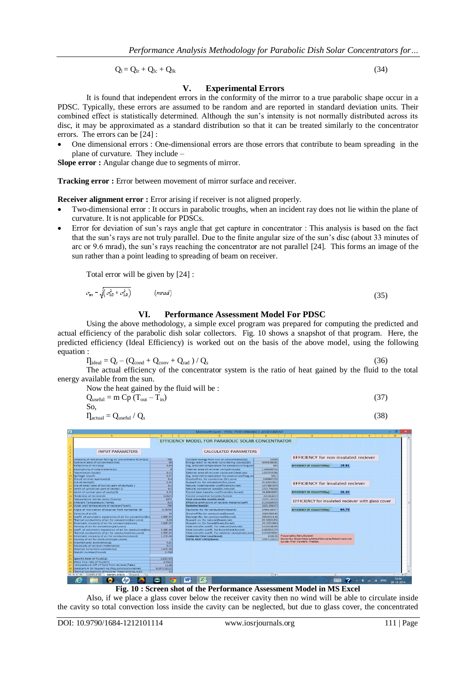$$
Q_{l} = Q_{lr} + Q_{lc} + Q_{lk} \tag{34}
$$

# **V. Experimental Errors**

It is found that independent errors in the conformity of the mirror to a true parabolic shape occur in a PDSC. Typically, these errors are assumed to be random and are reported in standard deviation units. Their combined effect is statistically determined. Although the sun's intensity is not normally distributed across its disc, it may be approximated as a standard distribution so that it can be treated similarly to the concentrator errors. The errors can be [24] :

 One dimensional errors : One-dimensional errors are those errors that contribute to beam spreading in the plane of curvature. They include –

**Slope error :** Angular change due to segments of mirror.

**Tracking error :** Error between movement of mirror surface and receiver.

**Receiver alignment error :** Error arising if receiver is not aligned properly.

- Two-dimensional error : It occurs in parabolic troughs, when an incident ray does not lie within the plane of curvature. It is not applicable for PDSCs.
- Error for deviation of sun's rays angle that get capture in concentrator : This analysis is based on the fact that the sun's rays are not truly parallel. Due to the finite angular size of the sun's disc (about 33 minutes of arc or 9.6 mrad), the sun's rays reaching the concentrator are not parallel [24]. This forms an image of the sun rather than a point leading to spreading of beam on receiver.

Total error will be given by [24] :

$$
=\sqrt{\left(\sigma_{1D}^2+\sigma_{2D}^2\right)}\qquad\qquad (mrad)
$$

**VI. Performance Assessment Model For PDSC**

Using the above methodology, a simple excel program was prepared for computing the predicted and actual efficiency of the parabolic dish solar collectors. Fig. 10 shows a snapshot of that program. Here, the predicted efficiency (Ideal Efficiency) is worked out on the basis of the above model, using the following equation :

 $\eta_{\text{ideal}} = Q_{\text{r}} - (Q_{\text{cond}} + Q_{\text{conv}} + Q_{\text{rad}}) / Q_{\text{s}}$  $(36)$ 

The actual efficiency of the concentrator system is the ratio of heat gained by the fluid to the total energy available from the sun.

Now the heat gained by the fluid will be :  
\n
$$
Q_{useful} = m Cp (T_{out} - T_{in})
$$
 (37)  
\nSo.

 $\Pi_{\text{actual}} = Q_{\text{useful}} / Q_{\text{s}}$  (38)

 $\sigma_{\rm st}$ 



**Fig. 10 : Screen shot of the Performance Assessment Model in MS Excel**

Also, if we place a glass cover below the receiver cavity then no wind will be able to circulate inside the cavity so total convection loss inside the cavity can be neglected, but due to glass cover, the concentrated

(35)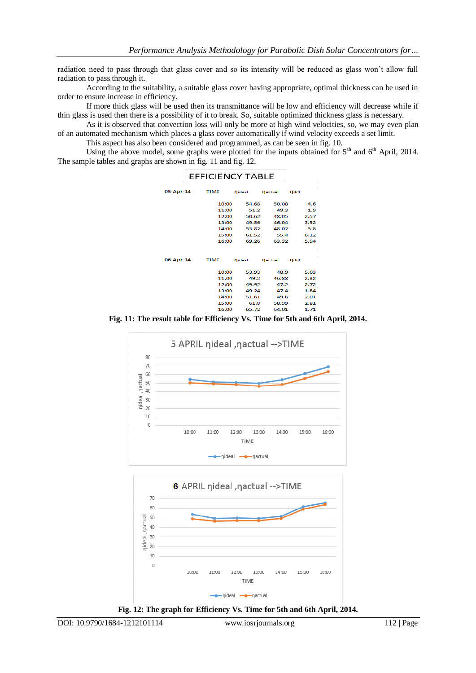radiation need to pass through that glass cover and so its intensity will be reduced as glass won't allow full radiation to pass through it.

According to the suitability, a suitable glass cover having appropriate, optimal thickness can be used in order to ensure increase in efficiency.

If more thick glass will be used then its transmittance will be low and efficiency will decrease while if thin glass is used then there is a possibility of it to break. So, suitable optimized thickness glass is necessary.

As it is observed that convection loss will only be more at high wind velocities, so, we may even plan of an automated mechanism which places a glass cover automatically if wind velocity exceeds a set limit.

This aspect has also been considered and programmed, as can be seen in fig. 10.

Using the above model, some graphs were plotted for the inputs obtained for 5<sup>th</sup> and 6<sup>th</sup> April, 2014. The sample tables and graphs are shown in fig. 11 and fig. 12.

|           | <b>EFFICIENCY TABLE</b> |        |         |       |
|-----------|-------------------------|--------|---------|-------|
| 05-Apr-14 | <b>TIME</b>             | nideal | nactual | ndiff |
|           | 10:00                   | 54.68  | 50.08   | 4.6   |
|           | 11:00                   | 51.2   | 49.3    | 1.9   |
|           | 12:00                   | 50.62  | 48.05   | 2.57  |
|           | 13:00                   | 49.56  | 46.04   | 3.52  |
|           | 14:00                   | 53.82  | 48.02   | 5.8   |
|           | 15:00                   | 61.52  | 55.4    | 6.12  |
|           | 16:00                   | 69.26  | 63.32   | 5.94  |
|           |                         |        |         |       |
|           |                         |        |         |       |
| 06-Apr-14 | <b>TIME</b>             | nideal | nactual | ndiff |
|           | 10:00                   | 53.93  | 48.9    | 5.03  |
|           | 11:00                   | 49.2   | 46.88   | 2.32  |
|           | 12:00                   | 49.92  | 47.2    | 2.72  |
|           | 13:00                   | 49.24  | 47.4    | 1.84  |
|           | 14:00                   | 51.61  | 49.6    | 2.01  |
|           | 15:00                   | 61.8   | 58.99   | 2.81  |
| п         | 16:00<br>п              | 65.72  | 64.01   | 1.71  |

**Fig. 11: The result table for Efficiency Vs. Time for 5th and 6th April, 2014.**



nideal **-a**nactual **Fig. 12: The graph for Efficiency Vs. Time for 5th and 6th April, 2014.**

DOI: 10.9790/1684-1212101114 www.iosrjournals.org 112 | Page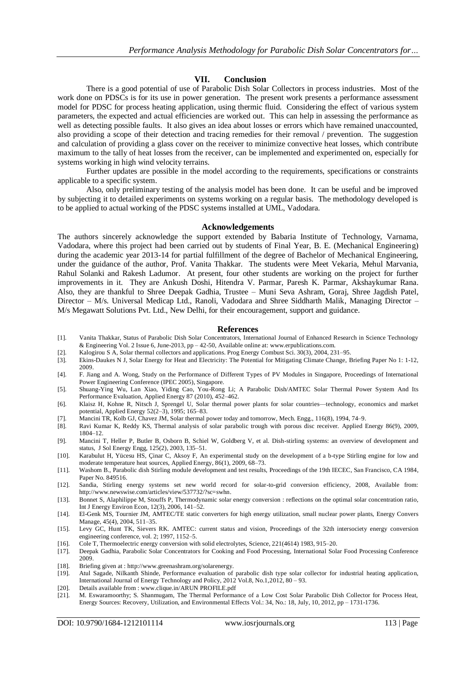#### **VII. Conclusion**

There is a good potential of use of Parabolic Dish Solar Collectors in process industries. Most of the work done on PDSCs is for its use in power generation. The present work presents a performance assessment model for PDSC for process heating application, using thermic fluid. Considering the effect of various system parameters, the expected and actual efficiencies are worked out. This can help in assessing the performance as well as detecting possible faults. It also gives an idea about losses or errors which have remained unaccounted, also providing a scope of their detection and tracing remedies for their removal / prevention. The suggestion and calculation of providing a glass cover on the receiver to minimize convective heat losses, which contribute maximum to the tally of heat losses from the receiver, can be implemented and experimented on, especially for systems working in high wind velocity terrains.

Further updates are possible in the model according to the requirements, specifications or constraints applicable to a specific system.

Also, only preliminary testing of the analysis model has been done. It can be useful and be improved by subjecting it to detailed experiments on systems working on a regular basis. The methodology developed is to be applied to actual working of the PDSC systems installed at UML, Vadodara.

#### **Acknowledgements**

The authors sincerely acknowledge the support extended by Babaria Institute of Technology, Varnama, Vadodara, where this project had been carried out by students of Final Year, B. E. (Mechanical Engineering) during the academic year 2013-14 for partial fulfillment of the degree of Bachelor of Mechanical Engineering, under the guidance of the author, Prof. Vanita Thakkar. The students were Meet Vekaria, Mehul Marvania, Rahul Solanki and Rakesh Ladumor. At present, four other students are working on the project for further improvements in it. They are Ankush Doshi, Hitendra V. Parmar, Paresh K. Parmar, Akshaykumar Rana. Also, they are thankful to Shree Deepak Gadhia, Trustee – Muni Seva Ashram, Goraj, Shree Jagdish Patel, Director – M/s. Universal Medicap Ltd., Ranoli, Vadodara and Shree Siddharth Malik, Managing Director – M/s Megawatt Solutions Pvt. Ltd., New Delhi, for their encouragement, support and guidance.

#### **References**

- [1]. Vanita Thakkar, Status of Parabolic Dish Solar Concentrators, International Journal of Enhanced Research in Science Technology & Engineering Vol. 2 Issue 6, June-2013, pp – 42-50, Available online at: www.erpublications.com.
- [2]. Kalogirou S A, Solar thermal collectors and applications. Prog Energy Combust Sci. 30(3), 2004, 231–95.
- [3]. Ekins-Daukes N J, Solar Energy for Heat and Electricity: The Potential for Mitigating Climate Change, Briefing Paper No 1: 1-12, 2009.
- [4]. F. Jiang and A. Wong, Study on the Performance of Different Types of PV Modules in Singapore, Proceedings of International Power Engineering Conference (IPEC 2005), Singapore.
- [5]. Shuang-Ying Wu, Lan Xiao, Yiding Cao, You-Rong Li; A Parabolic Dish/AMTEC Solar Thermal Power System And Its Performance Evaluation, Applied Energy 87 (2010), 452–462.
- [6]. Klaisz H, Kohne R, Nitsch J, Sprengel U, Solar thermal power plants for solar countries—technology, economics and market potential, Applied Energy 52(2–3), 1995; 165–83.
- [7]. Mancini TR, Kolb GJ, Chavez JM, Solar thermal power today and tomorrow, Mech. Engg., 116(8), 1994, 74–9.
- [8]. Ravi Kumar K, Reddy KS, Thermal analysis of solar parabolic trough with porous disc receiver. Applied Energy 86(9), 2009, 1804–12.
- [9]. Mancini T, Heller P, Butler B, Osborn B, Schiel W, Goldberg V, et al. Dish-stirling systems: an overview of development and status, J Sol Energy Engg, 125(2), 2003, 135–51.
- [10]. Karabulut H, Yücesu HS, Çinar C, Aksoy F, An experimental study on the development of a b-type Stirling engine for low and moderate temperature heat sources, Applied Energy, 86(1), 2009, 68–73.
- [11]. Washom B., Parabolic dish Stirling module development and test results, Proceedings of the 19th IECEC, San Francisco, CA 1984, Paper No. 849516.
- [12]. Sandia, Stirling energy systems set new world record for solar-to-grid conversion efficiency, 2008, Available from: http://www.newswise.com/articles/view/537732/?sc=swhn.
- [13]. Bonnet S, Alaphilippe M, Stouffs P, Thermodynamic solar energy conversion : reflections on the optimal solar concentration ratio, Int J Energy Environ Econ, 12(3), 2006, 141–52.
- [14]. El-Genk MS, Tournier JM, AMTEC/TE static converters for high energy utilization, small nuclear power plants, Energy Convers Manage, 45(4), 2004, 511–35.
- [15]. Levy GC, Hunt TK, Sievers RK. AMTEC: current status and vision, Proceedings of the 32th intersociety energy conversion engineering conference, vol. 2; 1997, 1152–5.
- [16]. Cole T, Thermoelectric energy conversion with solid electrolytes, Science, 221(4614) 1983, 915–20.
- [17]. Deepak Gadhia, Parabolic Solar Concentrators for Cooking and Food Processing, International Solar Food Processing Conference 2009.
- [18]. Briefing given at : http://www.greenashram.org/solarenergy.
- [19]. Atul Sagade, Nilkanth Shinde, Performance evaluation of parabolic dish type solar collector for industrial heating application, International Journal of Energy Technology and Policy, 2012 Vol.8, No.1,2012, 80 – 93.
- [20]. Details available from : www.clique.in/ARUN PROFILE.pdf
- [21]. M. Eswaramoorthy; S. Shanmugam, The Thermal Performance of a Low Cost Solar Parabolic Dish Collector for Process Heat, Energy Sources: Recovery, Utilization, and Environmental Effects Vol.: 34, No.: 18, July, 10, 2012, pp – 1731-1736.